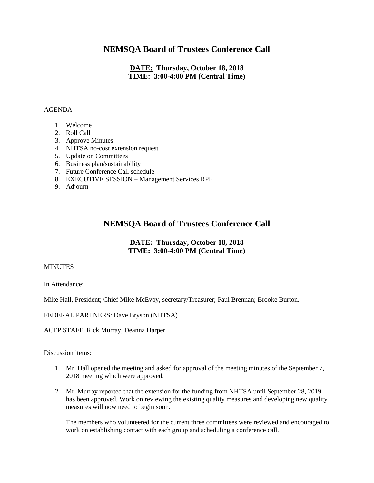## **NEMSQA Board of Trustees Conference Call**

### **DATE: Thursday, October 18, 2018 TIME: 3:00-4:00 PM (Central Time)**

#### AGENDA

- 1. Welcome
- 2. Roll Call
- 3. Approve Minutes
- 4. NHTSA no-cost extension request
- 5. Update on Committees
- 6. Business plan/sustainability
- 7. Future Conference Call schedule
- 8. EXECUTIVE SESSION Management Services RPF
- 9. Adjourn

# **NEMSQA Board of Trustees Conference Call**

### **DATE: Thursday, October 18, 2018 TIME: 3:00-4:00 PM (Central Time)**

#### MINUTES

In Attendance:

Mike Hall, President; Chief Mike McEvoy, secretary/Treasurer; Paul Brennan; Brooke Burton.

FEDERAL PARTNERS: Dave Bryson (NHTSA)

ACEP STAFF: Rick Murray, Deanna Harper

Discussion items:

- 1. Mr. Hall opened the meeting and asked for approval of the meeting minutes of the September 7, 2018 meeting which were approved.
- 2. Mr. Murray reported that the extension for the funding from NHTSA until September 28, 2019 has been approved. Work on reviewing the existing quality measures and developing new quality measures will now need to begin soon.

The members who volunteered for the current three committees were reviewed and encouraged to work on establishing contact with each group and scheduling a conference call.